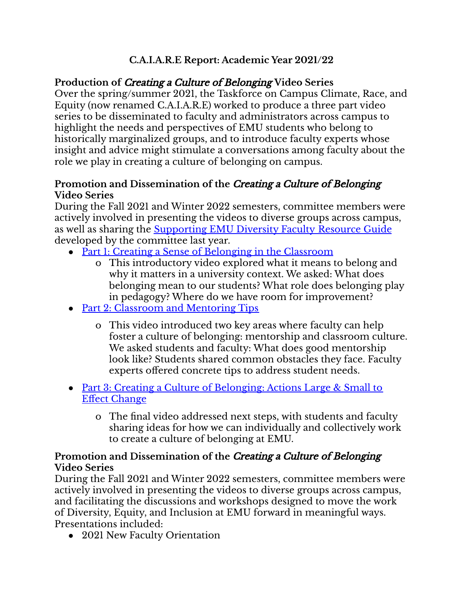# **C.A.I.A.R.E Report: Academic Year 2021/22**

### **Production of** Creating <sup>a</sup> Culture of Belonging **Video Series**

Over the spring/summer 2021, the Taskforce on Campus Climate, Race, and Equity (now renamed C.A.I.A.R.E) worked to produce a three part video series to be disseminated to faculty and administrators across campus to highlight the needs and perspectives of EMU students who belong to historically marginalized groups, and to introduce faculty experts whose insight and advice might stimulate a conversations among faculty about the role we play in creating a culture of belonging on campus.

#### **Promotion and Dissemination of the** Creating <sup>a</sup> Culture of Belonging **Video Series**

During the Fall 2021 and Winter 2022 semesters, committee members were actively involved in presenting the videos to diverse groups across campus, as well as sharing the [Supporting](https://www.emich.edu/facultysenate/committees/dei/index.php) EMU Diversity Faculty Resource Guide developed by the committee last year.

- Part 1: Creating a Sense of Belonging in the [Classroom](https://vimeo.com/606790992/d923a6570f)
	- o This introductory video explored what it means to belong and why it matters in a university context. We asked: What does belonging mean to our students? What role does belonging play in pedagogy? Where do we have room for improvement?
- Part 2: Classroom and [Mentoring](https://vimeo.com/620199650/c33c29a4a8) Tips
	- o This video introduced two key areas where faculty can help foster a culture of belonging: mentorship and classroom culture. We asked students and faculty: What does good mentorship look like? Students shared common obstacles they face. Faculty experts offered concrete tips to address student needs.
- Part 3: Creating a Culture of [Belonging:](https://vimeo.com/654727178/77d2c9507f) Actions Large & Small to Effect [Change](https://vimeo.com/654727178/77d2c9507f)
	- o The final video addressed next steps, with students and faculty sharing ideas for how we can individually and collectively work to create a culture of belonging at EMU.

#### **Promotion and Dissemination of the** Creating <sup>a</sup> Culture of Belonging **Video Series**

During the Fall 2021 and Winter 2022 semesters, committee members were actively involved in presenting the videos to diverse groups across campus, and facilitating the discussions and workshops designed to move the work of Diversity, Equity, and Inclusion at EMU forward in meaningful ways. Presentations included:

• 2021 New Faculty Orientation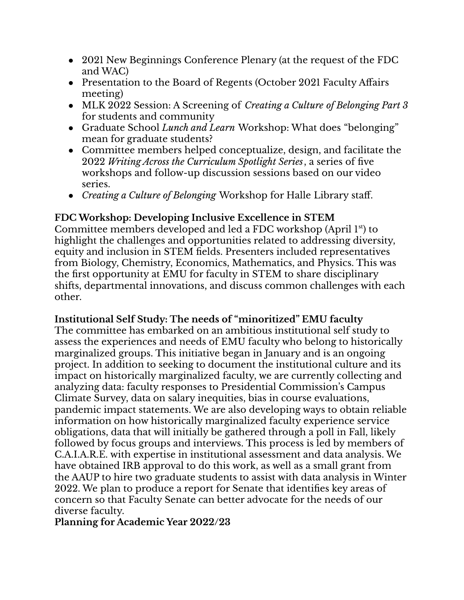- 2021 New Beginnings Conference Plenary (at the request of the FDC and WAC)
- Presentation to the Board of Regents (October 2021 Faculty Affairs meeting)
- MLK 2022 Session: A Screening of *Creating a Culture of Belonging Part 3* for students and community
- Graduate School *Lunch and Learn* Workshop: What does "belonging" mean for graduate students?
- Committee members helped conceptualize, design, and facilitate the 2022 *Writing Across the Curriculum Spotlight Series*, a series of five workshops and follow-up discussion sessions based on our video series.
- *Creating a Culture of Belonging* Workshop for Halle Library staff.

## **FDC Workshop: Developing Inclusive Excellence in STEM**

Committee members developed and led a FDC workshop (April 1 st ) to highlight the challenges and opportunities related to addressing diversity, equity and inclusion in STEM fields. Presenters included representatives from Biology, Chemistry, Economics, Mathematics, and Physics. This was the first opportunity at EMU for faculty in STEM to share disciplinary shifts, departmental innovations, and discuss common challenges with each other.

## **Institutional Self Study: The needs of "minoritized" EMU faculty**

The committee has embarked on an ambitious institutional self study to assess the experiences and needs of EMU faculty who belong to historically marginalized groups. This initiative began in January and is an ongoing project. In addition to seeking to document the institutional culture and its impact on historically marginalized faculty, we are currently collecting and analyzing data: faculty responses to Presidential Commission's Campus Climate Survey, data on salary inequities, bias in course evaluations, pandemic impact statements. We are also developing ways to obtain reliable information on how historically marginalized faculty experience service obligations, data that will initially be gathered through a poll in Fall, likely followed by focus groups and interviews. This process is led by members of C.A.I.A.R.E. with expertise in institutional assessment and data analysis. We have obtained IRB approval to do this work, as well as a small grant from the AAUP to hire two graduate students to assist with data analysis in Winter 2022. We plan to produce a report for Senate that identifies key areas of concern so that Faculty Senate can better advocate for the needs of our diverse faculty.

#### **Planning for Academic Year 2022/23**